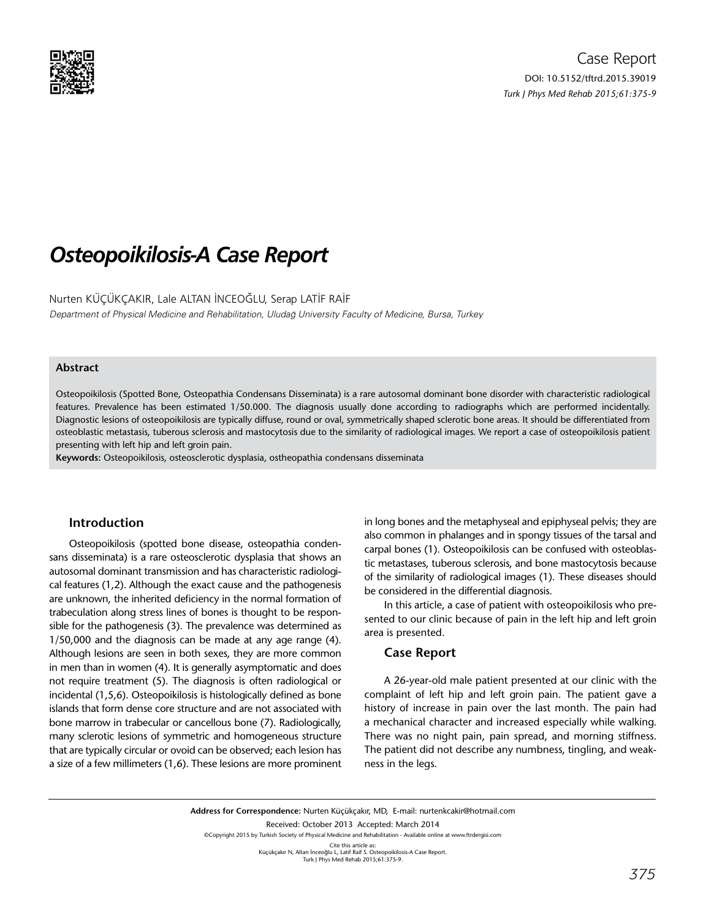

# *Osteopoikilosis-A Case Report*

Nurten KÜÇÜKÇAKIR, Lale ALTAN İNCEOĞLU, Serap LATİF RAİF Department of Physical Medicine and Rehabilitation, Uludağ University Faculty of Medicine, Bursa, Turkey

### **Abstract**

Osteopoikilosis (Spotted Bone, Osteopathia Condensans Disseminata) is a rare autosomal dominant bone disorder with characteristic radiological features. Prevalence has been estimated 1/50.000. The diagnosis usually done according to radiographs which are performed incidentally. Diagnostic lesions of osteopoikilosis are typically diffuse, round or oval, symmetrically shaped sclerotic bone areas. It should be differentiated from osteoblastic metastasis, tuberous sclerosis and mastocytosis due to the similarity of radiological images. We report a case of osteopoikilosis patient presenting with left hip and left groin pain.

**Keywords:** Osteopoikilosis, osteosclerotic dysplasia, ostheopathia condensans disseminata

# **Introduction**

Osteopoikilosis (spotted bone disease, osteopathia condensans disseminata) is a rare osteosclerotic dysplasia that shows an autosomal dominant transmission and has characteristic radiological features (1,2). Although the exact cause and the pathogenesis are unknown, the inherited deficiency in the normal formation of trabeculation along stress lines of bones is thought to be responsible for the pathogenesis (3). The prevalence was determined as 1/50,000 and the diagnosis can be made at any age range (4). Although lesions are seen in both sexes, they are more common in men than in women (4). It is generally asymptomatic and does not require treatment (5). The diagnosis is often radiological or incidental (1,5,6). Osteopoikilosis is histologically defined as bone islands that form dense core structure and are not associated with bone marrow in trabecular or cancellous bone (7). Radiologically, many sclerotic lesions of [symmetric](http://tureng.com/tr/turkce-ingilizce/symmetrical) and homogeneous structure that are typically circular or ovoid can be observed; each lesion has a size of a few millimeters (1,6). These lesions are more prominent in long bones and the metaphyseal and epiphyseal pelvis; they are also common in phalanges and in spongy tissues of the tarsal and carpal bones (1). Osteopoikilosis can be confused with osteoblastic metastases, tuberous sclerosis, and bone mastocytosis because of the similarity of radiological images (1). These diseases should be considered in the [differential diagnosis](http://tureng.com/tr/turkce-ingilizce/definitive diagnosis).

In this article, a case of patient with [osteopoikilosis](http://tureng.com/tr/turkce-ingilizce/osteopoikilosis) who presented to our clinic because of pain in the left hip and left groin area is presented.

## **Case Report**

A 26-year-old male patient presented at our clinic with the complaint of left hip and left groin pain. The patient gave a history of increase in pain over the last month. The pain had a mechanical character and increased especially while walking. There was no night pain, pain spread, and morning stiffness. The patient did not describe any numbness, tingling, and weakness in the legs.

**Address for Correspondence:** Nurten Küçükçakır, MD, E-mail: nurtenkcakir@hotmail.com Received: October 2013 Accepted: March 2014 ©Copyright 2015 by Turkish Society of Physical Medicine and Rehabilitation - Available online at www.ftrdergisi.com Cite this article as:<br>Küçükçakır N, Altan İnceoğlu L, Latif Raif S. Osteopoikilosis-A Case Report. Turk J Phys Med Rehab 2015;61:375-9.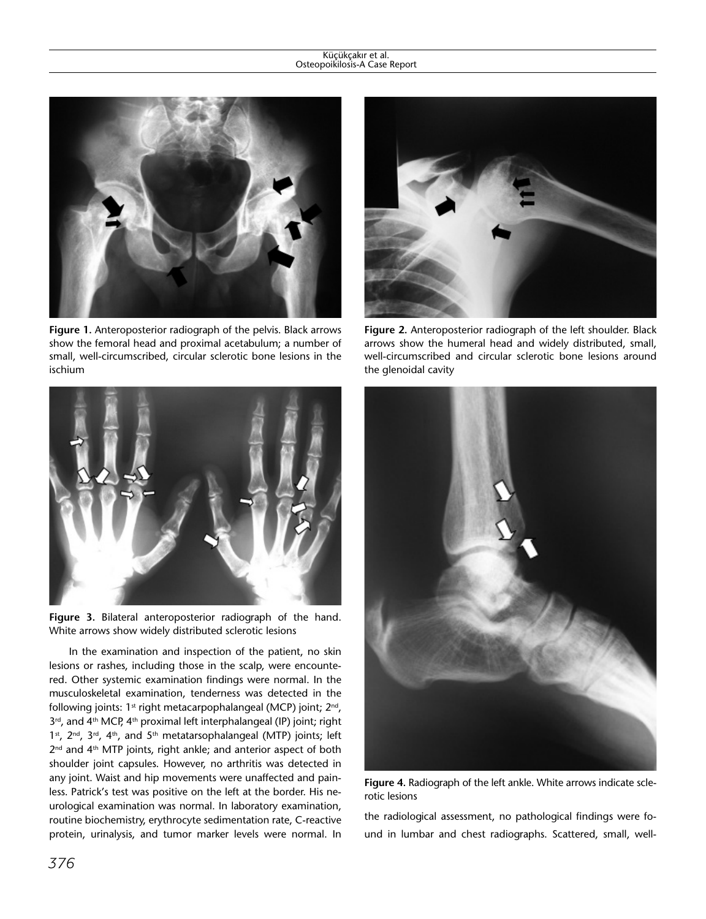#### Küçükçakır et al. Osteopoikilosis-A Case Report



**Figure 1.** Anteroposterior radiograph of the pelvis. Black arrows show the femoral head and proximal acetabulum; a number of small, well-circumscribed, circular sclerotic bone lesions in the ischium



**Figure 3.** Bilateral anteroposterior radiograph of the hand. White arrows show widely distributed sclerotic lesions

In the examination and inspection of the patient, no skin lesions or rashes, including those in the scalp, were encountered. Other systemic examination findings were normal. In the musculoskeletal examination, tenderness was detected in the following joints:  $1<sup>st</sup>$  right metacarpophalangeal (MCP) joint;  $2<sup>nd</sup>$ , 3<sup>rd</sup>, and 4<sup>th</sup> MCP, 4<sup>th</sup> proximal left interphalangeal (IP) joint; right 1st, 2<sup>nd</sup>, 3<sup>rd</sup>, 4<sup>th</sup>, and 5<sup>th</sup> metatarsophalangeal (MTP) joints; left 2<sup>nd</sup> and 4<sup>th</sup> MTP joints, right ankle; and anterior aspect of both shoulder joint capsules. However, no arthritis was detected in any joint. Waist and hip movements were unaffected and painless. Patrick's test was positive on the left at the border. His neurological examination was normal. In laboratory examination, routine biochemistry, erythrocyte sedimentation rate, C-reactive protein, urinalysis, and tumor marker levels were normal. In



**Figure 2.** Anteroposterior radiograph of the left shoulder. Black arrows show the humeral head and widely distributed, small, well-circumscribed and circular sclerotic bone lesions around the glenoidal cavity



**Figure 4.** Radiograph of the left ankle. White arrows indicate sclerotic lesions

the radiological assessment, no pathological findings were found in lumbar and chest radiographs. Scattered, small, well-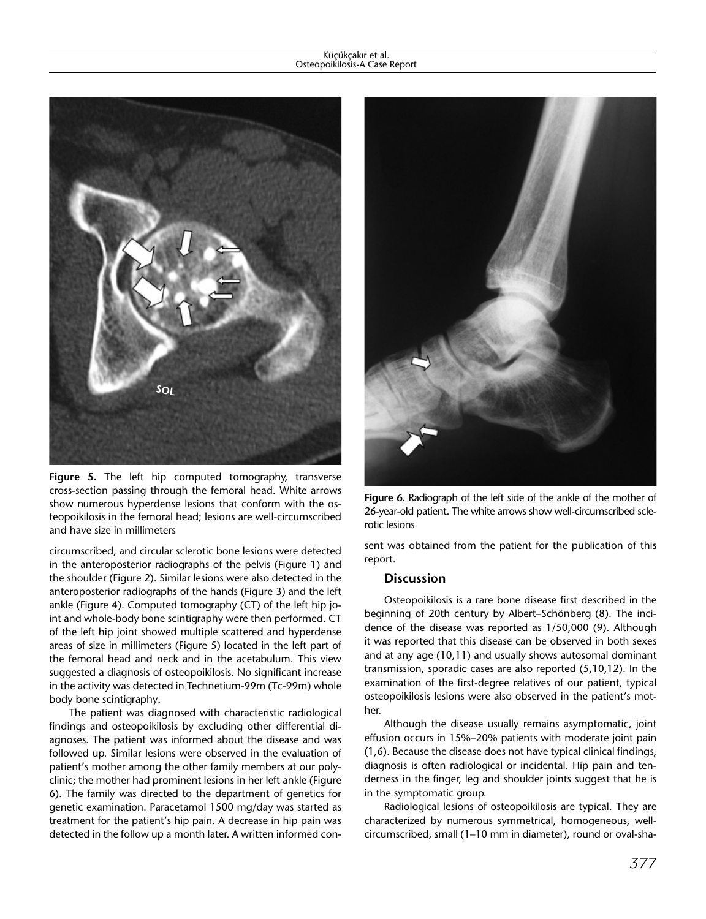#### Küçükçakır et al. Osteopoikilosis-A Case Report



**Figure 5.** The left hip computed tomography, transverse cross-section passing through the femoral head. White arrows show numerous hyperdense lesions that conform with the osteopoikilosis in the femoral head; lesions are well-circumscribed and have size in millimeters

circumscribed, and circular sclerotic bone lesions were detected in the anteroposterior radiographs of the pelvis (Figure 1) and the shoulder (Figure 2). Similar lesions were also detected in the anteroposterior radiographs of the hands (Figure 3) and the left ankle (Figure 4). Computed tomography (CT) of the left hip joint and whole-body bone [scintigraphy](http://tureng.com/tr/turkce-ingilizce/scintigraphy) were then performed. CT of the left hip joint showed multiple scattered and hyperdense areas of size in millimeters (Figure 5) located in the left part of the femoral head and neck and in the acetabulum. This view suggested a diagnosis of [osteopoikilosis.](http://tureng.com/tr/turkce-ingilizce/osteopoikilosis) No significant increase in the activity was detected in Technetium-99m (Tc-99m) whole body bone scintigraphy**.**

The patient was diagnosed with characteristic radiological findings and osteopoikilosis by excluding other differential diagnoses. The patient was informed about the disease and was followed up. Similar lesions were observed in the evaluation of patient's mother among the other family members at our polyclinic; the mother had prominent lesions in her left ankle (Figure 6). The family was directed to the department of genetics for genetic examination. Paracetamol 1500 mg/day was started as treatment for the patient's hip pain. A decrease in hip pain was detected in the follow up a month later. A written informed con-



**Figure 6.** Radiograph of the left side of the ankle of the mother of 26-year-old patient. The white arrows show well-circumscribed sclerotic lesions

sent was obtained from the patient for the publication of this report.

## **Discussion**

Osteopoikilosis is a rare bone disease first described in the beginning of 20th century by Albert–Schönberg (8). The incidence of the disease was reported as 1/50,000 (9). Although it was reported that this disease can be observed in both sexes and at any age (10,11) and usually shows autosomal dominant transmission, sporadic cases are also reported (5,10,12). In the examination of the first-degree relatives of our patient, typical osteopoikilosis lesions were also observed in the patient's mother.

Although the disease usually remains asymptomatic, joint effusion occurs in 15%–20% patients with moderate joint pain (1,6). Because the disease does not have typical clinical findings, diagnosis is often radiological or incidental. Hip pain and tenderness in the finger, leg and shoulder joints suggest that he is in the symptomatic group.

Radiological lesions of osteopoikilosis are typical. They are characterized by numerous symmetrical, homogeneous, wellcircumscribed, small (1–10 mm in diameter), round or oval-sha-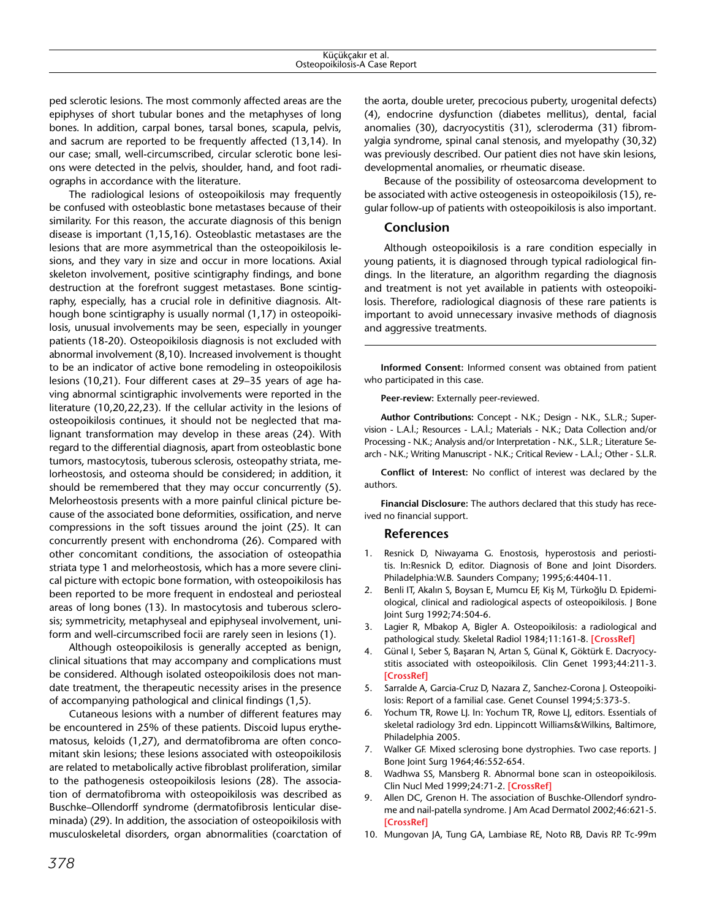ped sclerotic lesions. The most commonly affected areas are the epiphyses of short tubular bones and the metaphyses of long bones. In addition, carpal bones, tarsal bones, scapula, pelvis, and sacrum are reported to be frequently affected (13,14). In our case; small, well-circumscribed, circular sclerotic bone lesions were detected in the pelvis, shoulder, hand, and foot radiographs in accordance with the literature.

The radiological lesions of osteopoikilosis may frequently be confused with osteoblastic bone metastases because of their similarity. For this reason, the accurate diagnosis of this benign disease is important (1,15,16). Osteoblastic metastases are the lesions that are more asymmetrical than the osteopoikilosis lesions, and they vary in size and occur in more locations. Axial skeleton involvement, positive scintigraphy findings, and bone destruction at the forefront suggest metastases. Bone scintigraphy, especially, has a crucial role in [definitive diagnosis.](http://tureng.com/tr/turkce-ingilizce/definitive diagnosis) Although bone scintigraphy is usually normal (1,17) in osteopoikilosis, unusual involvements may be seen, especially in younger patients (18-20). Osteopoikilosis diagnosis is not excluded with abnormal involvement (8,10). Increased involvement is thought to be an indicator of active bone remodeling in osteopoikilosis lesions (10,21). Four different cases at 29–35 years of age having abnormal scintigraphic involvements were reported in the literature (10,20,22,23). If the cellular activity in the lesions of osteopoikilosis continues, it should not be neglected that malignant transformation may develop in these areas (24). With regard to the differential diagnosis, apart from osteoblastic bone tumors, mastocytosis, tuberous sclerosis, osteopathy striata, melorheostosis, and osteoma should be considered; in addition, it should be remembered that they may occur concurrently (5). Melorheostosis presents with a more painful clinical picture because of the associated bone deformities, ossification, and nerve compressions in the soft tissues around the joint (25). It can concurrently present with enchondroma (26). Compared with other concomitant conditions, the association of osteopathia striata type 1 and [melorheostosis](http://tureng.com/tr/turkce-ingilizce/melorheostosis), which has a more severe clinical picture with ectopic bone formation, with osteopoikilosis has been reported to be more frequent in endosteal and periosteal areas of long bones (13). In mastocytosis and tuberous sclerosis; symmetricity, metaphyseal and epiphyseal involvement, uniform and well-circumscribed focii are rarely seen in lesions (1).

Although osteopoikilosis is generally accepted as benign, clinical situations that may accompany and complications must be considered. Although isolated osteopoikilosis does not mandate treatment, the therapeutic necessity arises in the presence of accompanying pathological and clinical findings (1,5).

Cutaneous lesions with a number of different features may be encountered in 25% of these patients. Discoid lupus erythematosus, keloids (1,27), and dermatofibroma are often concomitant skin lesions; these lesions associated with osteopoikilosis are related to metabolically active fibroblast proliferation, similar to the pathogenesis osteopoikilosis lesions (28). The association of dermatofibroma with osteopoikilosis was described as Buschke–Ollendorff syndrome (dermatofibrosis lenticular diseminada) (29). In addition, the association of osteopoikilosis with musculoskeletal disorders, organ abnormalities (coarctation of

the aorta, double ureter, precocious puberty, urogenital defects) (4), endocrine dysfunction (diabetes mellitus), dental, facial anomalies (30), dacryocystitis (31), scleroderma (31) fibromyalgia syndrome, spinal canal stenosis, and myelopathy (30,32) was previously described. Our patient dies not have skin lesions, developmental anomalies, or rheumatic disease.

Because of the possibility of osteosarcoma development to be associated with active osteogenesis in osteopoikilosis (15), regular follow-up of patients with osteopoikilosis is also important.

# **Conclusion**

Although osteopoikilosis is a rare condition especially in young patients, it is diagnosed through typical radiological findings. In the literature, an algorithm regarding the diagnosis and treatment is not yet available in patients with osteopoikilosis. Therefore, radiological diagnosis of these rare patients is important to avoid unnecessary invasive methods of diagnosis and aggressive treatments.

**Informed Consent:** Informed consent was obtained from patient who participated in this case.

**Peer-review:** Externally peer-reviewed.

**Author Contributions:** Concept - N.K.; Design - N.K., S.L.R.; Supervision - L.A.İ.; Resources - L.A.İ.; Materials - N.K.; Data Collection and/or Processing - N.K.; Analysis and/or Interpretation - N.K., S.L.R.; Literature Search - N.K.; Writing Manuscript - N.K.; Critical Review - L.A.İ.; Other - S.L.R.

**Conflict of Interest:** No conflict of interest was declared by the authors.

**Financial Disclosure:** The authors declared that this study has received no financial support.

# **References**

- 1. Resnick D, Niwayama G. Enostosis, hyperostosis and periostitis. In:Resnick D, editor. Diagnosis of Bone and Joint Disorders. Philadelphia:W.B. Saunders Company; 1995;6:4404-11.
- 2. Benli IT, Akalın S, Boysan E, Mumcu EF, Kiş M, Türkoğlu D. Epidemiological, clinical and radiological aspects of osteopoikilosis. J Bone Joint Surg 1992;74:504-6.
- 3. Lagier R, Mbakop A, Bigler A. Osteopoikilosis: a radiological and pathological study. Skeletal Radiol 1984;11:161-8. **[\[CrossRef](http://dx.doi.org/10.1007/BF00349489)]**
- 4. Günal I, Seber S, Başaran N, Artan S, Günal K, Göktürk E. Dacryocystitis associated with osteopoikilosis. Clin Genet 1993;44:211-3. **[\[CrossRef\]](http://dx.doi.org/10.1111/j.1399-0004.1993.tb03882.x)**
- 5. Sarralde A, Garcia-Cruz D, Nazara Z, Sanchez-Corona J. Osteopoikilosis: Report of a familial case. Genet Counsel 1994;5:373-5.
- 6. Yochum TR, Rowe LJ. In: Yochum TR, Rowe LJ, editors. Essentials of skeletal radiology 3rd edn. Lippincott Williams&Wilkins, Baltimore, Philadelphia 2005.
- 7. Walker GF. Mixed sclerosing bone dystrophies. Two case reports. J Bone Joint Surg 1964;46:552-654.
- 8. Wadhwa SS, Mansberg R. Abnormal bone scan in osteopoikilosis. Clin Nucl Med 1999;24:71-2. **[\[CrossRef\]](http://dx.doi.org/10.1097/00003072-199901000-00022)**
- 9. Allen DC, Grenon H. The association of Buschke-Ollendorf syndrome and nail-patella syndrome. J Am Acad Dermatol 2002;46:621-5. **[\[CrossRef\]](http://dx.doi.org/10.1067/mjd.2002.120614)**
- 10. Mungovan JA, Tung GA, Lambiase RE, Noto RB, Davis RP. Tc-99m